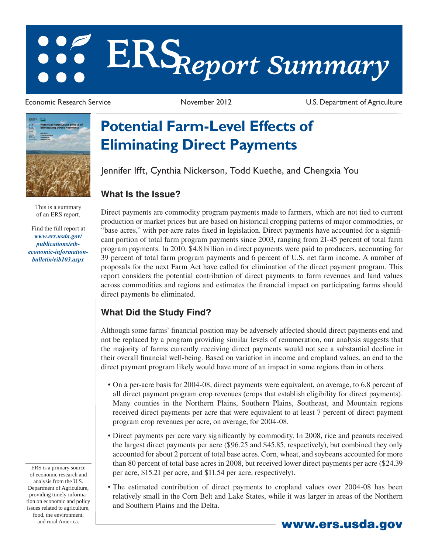# **ERS***Report Summary*

Economic Research Service **November 2012** U.S. Department of Agriculture



This is a summary of an ERS report.

Find the full report at *www.ers.usda.gov/ publications/eibeconomic-informationbulletin/eib103.aspx*

**Potential Farm-Level Effects of Eliminating Direct Payments**

Jennifer Ifft, Cynthia Nickerson, Todd Kuethe, and Chengxia You

# **What Is the Issue?**

Direct payments are commodity program payments made to farmers, which are not tied to current production or market prices but are based on historical cropping patterns of major commodities, or "base acres," with per-acre rates fixed in legislation. Direct payments have accounted for a significant portion of total farm program payments since 2003, ranging from 21-45 percent of total farm program payments. In 2010, \$4.8 billion in direct payments were paid to producers, accounting for 39 percent of total farm program payments and 6 percent of U.S. net farm income. A number of proposals for the next Farm Act have called for elimination of the direct payment program. This report considers the potential contribution of direct payments to farm revenues and land values across commodities and regions and estimates the financial impact on participating farms should direct payments be eliminated.

## **What Did the Study Find?**

Although some farms' financial position may be adversely affected should direct payments end and not be replaced by a program providing similar levels of renumeration, our analysis suggests that the majority of farms currently receiving direct payments would not see a substantial decline in their overall financial well-being. Based on variation in income and cropland values, an end to the direct payment program likely would have more of an impact in some regions than in others.

- On a per-acre basis for 2004-08, direct payments were equivalent, on average, to 6.8 percent of all direct payment program crop revenues (crops that establish eligibility for direct payments). Many counties in the Northern Plains, Southern Plains, Southeast, and Mountain regions received direct payments per acre that were equivalent to at least 7 percent of direct payment program crop revenues per acre, on average, for 2004-08.
- Direct payments per acre vary significantly by commodity. In 2008, rice and peanuts received the largest direct payments per acre (\$96.25 and \$45.85, respectively), but combined they only accounted for about 2 percent of total base acres. Corn, wheat, and soybeans accounted for more than 80 percent of total base acres in 2008, but received lower direct payments per acre (\$24.39 per acre, \$15.21 per acre, and \$11.54 per acre, respectively).
- The estimated contribution of direct payments to cropland values over 2004-08 has been relatively small in the Corn Belt and Lake States, while it was larger in areas of the Northern and Southern Plains and the Delta.

ERS is a primary source of economic research and analysis from the U.S. Department of Agriculture, providing timely information on economic and policy issues related to agriculture, food, the environment, and rural America. **www.ers.usda.gov**